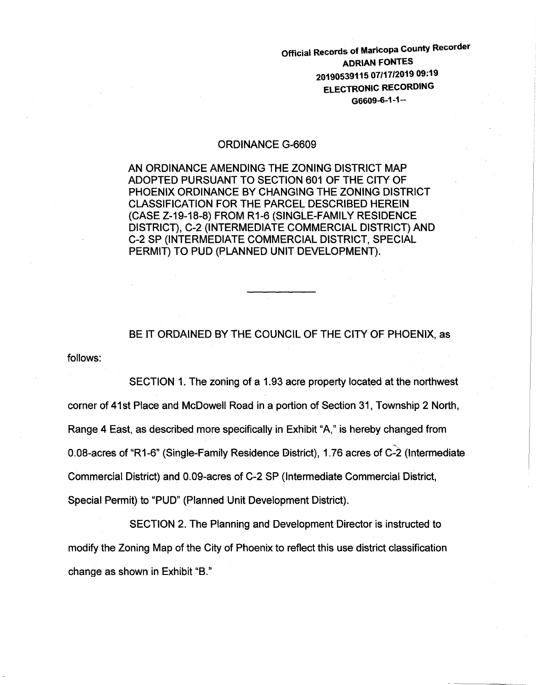Official Records of Maricopa County Recorder ADRIAN FONTES 20190539115 07/17/2019 09:19 ELECTRONIC RECORDING G6609-6-1-1--

#### ORDINANCE G-6609

AN ORDINANCE AMENDING THE ZONING DISTRICT MAP ADOPTED PURSUANT TO SECTION 601 OF THE CITY OF PHOENIX ORDINANCE BY CHANGING THE ZONING DISTRICT CLASSIFICATION FOR THE PARCEL DESCRIBED HEREIN (CASE Z-19-18-8) FROM R1-6 (SINGLE-FAMILY RESIDENCE DISTRICT), C-2 (INTERMEDIATE COMMERCIAL DISTRICT) AND C-2 SP (INTERMEDIATE COMMERCIAL DISTRICT, SPECIAL PERMIT) TO PUD (PLANNED UNIT DEVELOPMENT).

BE IT ORDAINED BY THE COUNCIL OF THE CITY OF PHOENIX, as

follows:

SECTION 1. The zoning of a 1.93 acre property located at the northwest corner of 41st Place and McDowell Road in a portion of Section 31 , Township 2 North, Range 4 East, as described more specifically in Exhibit "A," is hereby changed from 0.08-acres of "R1-6" (Single-Family Residence District), 1.76 acres of C-2 (Intermediate Commercial District) and 0.09-acres of C-2 SP (Intermediate Commercial District, Special Permit) to "PUD" (Planned Unit Development District).

SECTION 2. The Planning and Development Director is instructed to modify the Zoning Map of the City of Phoenix to reflect this use district classification change as shown in Exhibit "B."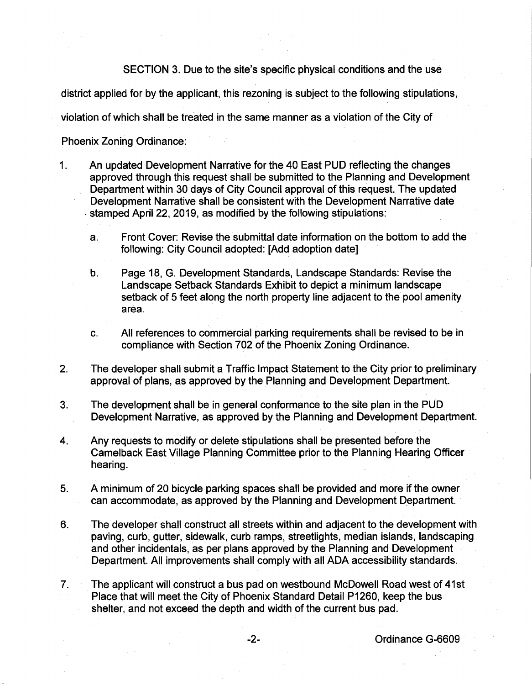SECTION 3. Due to the site's specific physical conditions and the use

district applied for by the applicant, this rezoning is subject to the following stipulations,

violation of which shall be treated in the same manner as a violation of the City of

Phoenix Zoning Ordinance:

- 1. An updated Development Narrative for the 40 East PUD reflecting the changes approved through this request shall be submitted to the Planning and Development Department within 30 days of City Council approval of this request. The updated Development Narrative shall be consistent with the Development Narrative date . stamped April22, 2019, as modified by the following stipulations:
	- a. Front Cover: Revise the submittal date information on the bottom to add the following: City Council adopted: [Add adoption date]
	- b. Page 18, G. Development Standards, Landscape Standards: Revise the Landscape Setback Standards Exhibit to depict a minimum landscape setback of 5 feet along the north property line adjacent to the pool amenity area.
	- c. All references to commercial parking requirements shall be revised to be in compliance with Section 702 of the Phoenix Zoning Ordinance.
- 2. The developer shall submit a Traffic Impact Statement to the City prior to preliminary approval of plans, as approved by the Planning and Development Department.
- 3. The development shall be in general conformance to the site plan in the PUD Development Narrative, as approved by the Planning and Development Department.
- 4. Any requests to modify or delete stipulations shall be presented before the Camelback East Village Planning Committee prior to the Planning Hearing Officer hearing.
- 5. A minimum of 20 bicycle parking spaces shall be provided and more if the owner can accommodate, as approved by the Planning and Development Department.
- 6. The developer shall construct all streets within and adjacent to the development with paving, curb, gutter, sidewalk, curb ramps, streetlights, median islands, landscaping and other incidentals, as per plans approved by the Planning and Development Department. All improvements shall comply with all ADA accessibility standards.
- 7. The applicant will construct a bus pad on westbound McDowell Road west of 41st Place that will meet the City of Phoenix Standard Detail P1260, keep the bus shelter, and not exceed the depth and width of the current bus pad.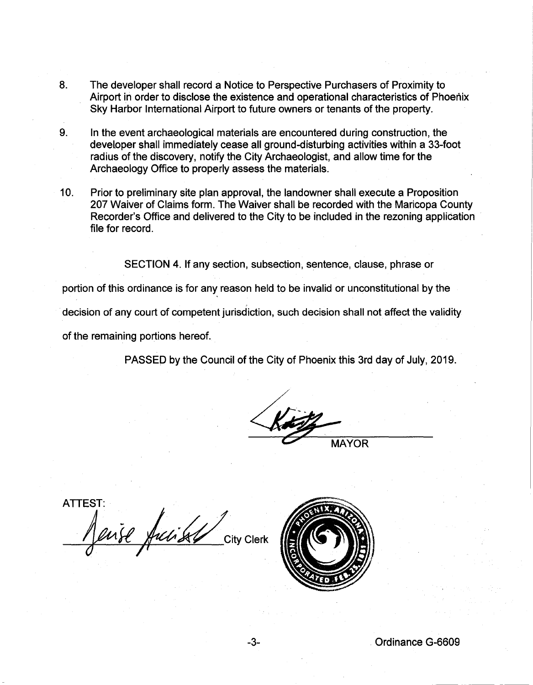- 8. The developer shall record a Notice to Perspective Purchasers of Proximity to Airport in order to disclose the existence and operational characteristics of Phoenix Sky Harbor International Airport to future owners or tenants of the property.
- 9. In the event archaeological materials are encountered during construction, the developer shall immediately cease all ground-disturbing activities within a 33-foot radius of the discovery, notify the City Archaeologist, and allow time for the Archaeology Office to properly assess the materials.
- 10. Prior to preliminary site plan approval, the landowner shall execute a Proposition 207 Waiver of Claims form. The Waiver shall be recorded with the Maricopa County Recorder's Office and delivered to the City to be included in the rezoning application file for record.

SECTION 4. If any section, subsection, sentence, clause, phrase or

portion of this ordinance is for any reason held to be invalid or unconstitutional by the

decision of any court of competent jurisdiction, such decision shall not affect the validity

of the remaining portions hereof.

PASSED by the Council of the City of Phoenix this 3rd day of July, 2019.

**MAYOR** 

ATTEST: I fuse fucks that City Clerk



-3- Ordinance G-6609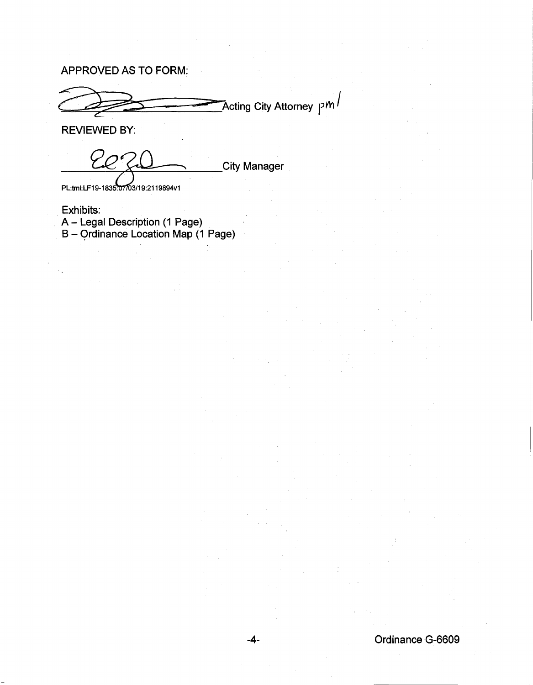APPROVED AS TO FORM:

Acting City Attorney p $\kappa'$ 

REVIEWED BY:

City Manager

PL:tml:LF19-1835:07/03/19:2119894v1

Exhibits: A- Legal Description (1 Page) B- Qrdinance Location Map (1 Page)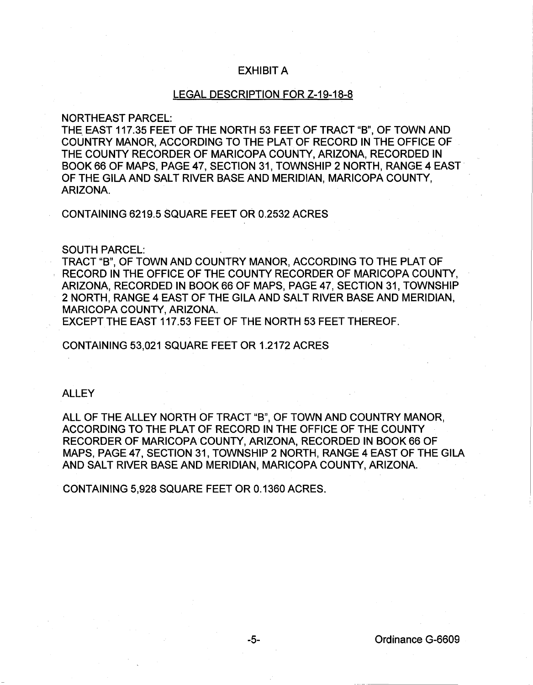# EXHIBIT A

## LEGAL DESCRIPTION FOR Z-19-18-8

## NORTHEAST PARCEL:

THE EAST 117.35 FEET OF THE NORTH 53 FEET OF TRACT "B", OF TOWN AND COUNTRY MANOR, ACCORDING TO THE PLAT OF RECORD IN THE OFFICE OF THE COUNTY RECORDER OF MARICOPA COUNTY, ARIZONA, RECORDED IN BOOK 66 OF MAPS, PAGE 47, SECTION 31, TOWNSHIP 2 NORTH, RANGE 4 EAST OF THE GILA AND SALT RIVER BASE AND MERIDIAN, MARICOPA COUNTY, ARIZONA.

CONTAINING 6219.5 SQUARE FEET OR 0.2532 ACRES

#### SOUTH PARCEL:

TRACT "B", OF TOWN AND COUNTRY MANOR, ACCORDING TO THE PLAT OF RECORD IN THE OFFICE OF THE COUNTY RECORDER OF MARICOPA COUNTY, ARIZONA, RECORDED IN BOOK 66 OF MAPS, PAGE 47, SECTION 31, TOWNSHIP 2 NORTH, RANGE 4 EAST OF THE GILA AND SALT RIVER BASE AND MERIDIAN, MARICOPA COUNTY, ARIZONA.

EXCEPT THE EAST 117.53 FEET OF THE NORTH 53 FEET THEREOF.

CONTAINING 53,021 SQUARE FEET OR 1.2172 ACRES

### ALLEY

ALL OF THE ALLEY NORTH OF TRACT "B", OF TOWN AND COUNTRY MANOR, ACCORDING TO THE PLAT OF RECORD IN THE OFFICE OF THE COUNTY RECORDER OF MARICOPA COUNTY, ARIZONA, RECORDED IN BOOK 66 OF MAPS, PAGE 47, SECTION 31, TOWNSHIP 2 NORTH, RANGE 4 EAST OF THE GILA AND SALT RIVER BASE AND MERIDIAN, MARICOPA COUNTY, ARIZONA.

CONTAINING 5,928 SQUARE FEET OR 0.1360 ACRES.